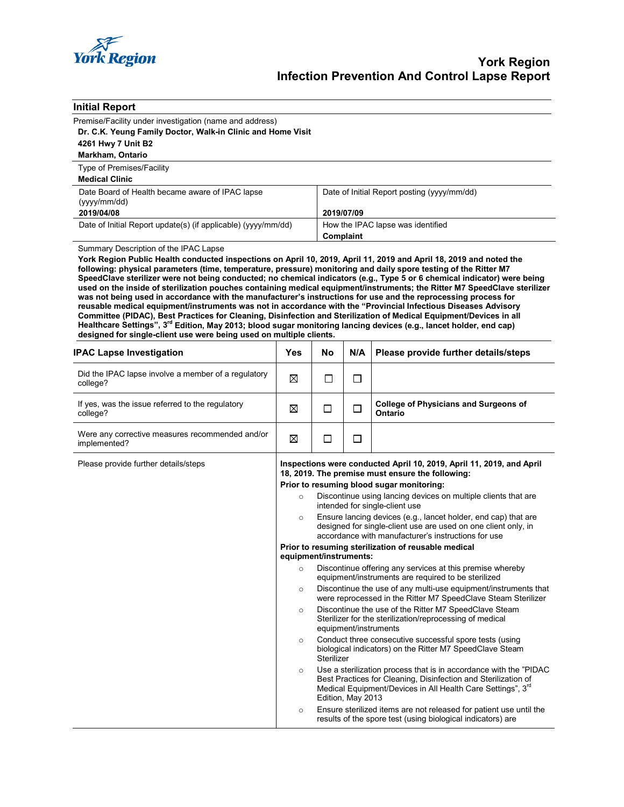

| <b>Initial Report</b>                                                                                                                                                                                                                                                                                                                                                                                                                                                                                                                                                                                                                                                                                                                                                                                                                                                                                                                                                                                                                                              |                                                                                                                                              |                                                                                                                                                                                         |                                                |                                                                                                                                                                                                     |  |  |  |
|--------------------------------------------------------------------------------------------------------------------------------------------------------------------------------------------------------------------------------------------------------------------------------------------------------------------------------------------------------------------------------------------------------------------------------------------------------------------------------------------------------------------------------------------------------------------------------------------------------------------------------------------------------------------------------------------------------------------------------------------------------------------------------------------------------------------------------------------------------------------------------------------------------------------------------------------------------------------------------------------------------------------------------------------------------------------|----------------------------------------------------------------------------------------------------------------------------------------------|-----------------------------------------------------------------------------------------------------------------------------------------------------------------------------------------|------------------------------------------------|-----------------------------------------------------------------------------------------------------------------------------------------------------------------------------------------------------|--|--|--|
| Premise/Facility under investigation (name and address)                                                                                                                                                                                                                                                                                                                                                                                                                                                                                                                                                                                                                                                                                                                                                                                                                                                                                                                                                                                                            |                                                                                                                                              |                                                                                                                                                                                         |                                                |                                                                                                                                                                                                     |  |  |  |
| Dr. C.K. Yeung Family Doctor, Walk-in Clinic and Home Visit                                                                                                                                                                                                                                                                                                                                                                                                                                                                                                                                                                                                                                                                                                                                                                                                                                                                                                                                                                                                        |                                                                                                                                              |                                                                                                                                                                                         |                                                |                                                                                                                                                                                                     |  |  |  |
| 4261 Hwy 7 Unit B2                                                                                                                                                                                                                                                                                                                                                                                                                                                                                                                                                                                                                                                                                                                                                                                                                                                                                                                                                                                                                                                 |                                                                                                                                              |                                                                                                                                                                                         |                                                |                                                                                                                                                                                                     |  |  |  |
| Markham, Ontario                                                                                                                                                                                                                                                                                                                                                                                                                                                                                                                                                                                                                                                                                                                                                                                                                                                                                                                                                                                                                                                   |                                                                                                                                              |                                                                                                                                                                                         |                                                |                                                                                                                                                                                                     |  |  |  |
| Type of Premises/Facility<br><b>Medical Clinic</b>                                                                                                                                                                                                                                                                                                                                                                                                                                                                                                                                                                                                                                                                                                                                                                                                                                                                                                                                                                                                                 |                                                                                                                                              |                                                                                                                                                                                         |                                                |                                                                                                                                                                                                     |  |  |  |
| Date Board of Health became aware of IPAC lapse<br>(yyyy/mm/dd)                                                                                                                                                                                                                                                                                                                                                                                                                                                                                                                                                                                                                                                                                                                                                                                                                                                                                                                                                                                                    |                                                                                                                                              |                                                                                                                                                                                         | Date of Initial Report posting (yyyy/mm/dd)    |                                                                                                                                                                                                     |  |  |  |
| 2019/04/08                                                                                                                                                                                                                                                                                                                                                                                                                                                                                                                                                                                                                                                                                                                                                                                                                                                                                                                                                                                                                                                         |                                                                                                                                              |                                                                                                                                                                                         | 2019/07/09                                     |                                                                                                                                                                                                     |  |  |  |
| Date of Initial Report update(s) (if applicable) (yyyy/mm/dd)                                                                                                                                                                                                                                                                                                                                                                                                                                                                                                                                                                                                                                                                                                                                                                                                                                                                                                                                                                                                      |                                                                                                                                              |                                                                                                                                                                                         | How the IPAC lapse was identified<br>Complaint |                                                                                                                                                                                                     |  |  |  |
| Summary Description of the IPAC Lapse                                                                                                                                                                                                                                                                                                                                                                                                                                                                                                                                                                                                                                                                                                                                                                                                                                                                                                                                                                                                                              |                                                                                                                                              |                                                                                                                                                                                         |                                                |                                                                                                                                                                                                     |  |  |  |
| York Region Public Health conducted inspections on April 10, 2019, April 11, 2019 and April 18, 2019 and noted the<br>following: physical parameters (time, temperature, pressure) monitoring and daily spore testing of the Ritter M7<br>SpeedClave sterilizer were not being conducted; no chemical indicators (e.g., Type 5 or 6 chemical indicator) were being<br>used on the inside of sterilization pouches containing medical equipment/instruments; the Ritter M7 SpeedClave sterilizer<br>was not being used in accordance with the manufacturer's instructions for use and the reprocessing process for<br>reusable medical equipment/instruments was not in accordance with the "Provincial Infectious Diseases Advisory<br>Committee (PIDAC), Best Practices for Cleaning, Disinfection and Sterilization of Medical Equipment/Devices in all<br>Healthcare Settings", 3 <sup>rd</sup> Edition, May 2013; blood sugar monitoring lancing devices (e.g., lancet holder, end cap)<br>designed for single-client use were being used on multiple clients. |                                                                                                                                              |                                                                                                                                                                                         |                                                |                                                                                                                                                                                                     |  |  |  |
| <b>IPAC Lapse Investigation</b>                                                                                                                                                                                                                                                                                                                                                                                                                                                                                                                                                                                                                                                                                                                                                                                                                                                                                                                                                                                                                                    | Yes                                                                                                                                          | No                                                                                                                                                                                      | N/A                                            | Please provide further details/steps                                                                                                                                                                |  |  |  |
| Did the IPAC lapse involve a member of a regulatory<br>college?                                                                                                                                                                                                                                                                                                                                                                                                                                                                                                                                                                                                                                                                                                                                                                                                                                                                                                                                                                                                    | ⊠                                                                                                                                            | $\Box$                                                                                                                                                                                  | $\Box$                                         |                                                                                                                                                                                                     |  |  |  |
| If yes, was the issue referred to the regulatory<br>college?                                                                                                                                                                                                                                                                                                                                                                                                                                                                                                                                                                                                                                                                                                                                                                                                                                                                                                                                                                                                       | X                                                                                                                                            | П                                                                                                                                                                                       | □                                              | <b>College of Physicians and Surgeons of</b><br>Ontario                                                                                                                                             |  |  |  |
| Were any corrective measures recommended and/or<br>implemented?                                                                                                                                                                                                                                                                                                                                                                                                                                                                                                                                                                                                                                                                                                                                                                                                                                                                                                                                                                                                    | ⊠                                                                                                                                            | $\Box$                                                                                                                                                                                  | □                                              |                                                                                                                                                                                                     |  |  |  |
| Please provide further details/steps                                                                                                                                                                                                                                                                                                                                                                                                                                                                                                                                                                                                                                                                                                                                                                                                                                                                                                                                                                                                                               | Inspections were conducted April 10, 2019, April 11, 2019, and April<br>18, 2019. The premise must ensure the following:                     |                                                                                                                                                                                         |                                                |                                                                                                                                                                                                     |  |  |  |
|                                                                                                                                                                                                                                                                                                                                                                                                                                                                                                                                                                                                                                                                                                                                                                                                                                                                                                                                                                                                                                                                    |                                                                                                                                              | Prior to resuming blood sugar monitoring:                                                                                                                                               |                                                |                                                                                                                                                                                                     |  |  |  |
|                                                                                                                                                                                                                                                                                                                                                                                                                                                                                                                                                                                                                                                                                                                                                                                                                                                                                                                                                                                                                                                                    | $\circ$                                                                                                                                      | Discontinue using lancing devices on multiple clients that are<br>intended for single-client use                                                                                        |                                                |                                                                                                                                                                                                     |  |  |  |
|                                                                                                                                                                                                                                                                                                                                                                                                                                                                                                                                                                                                                                                                                                                                                                                                                                                                                                                                                                                                                                                                    | $\circ$                                                                                                                                      | Ensure lancing devices (e.g., lancet holder, end cap) that are<br>designed for single-client use are used on one client only, in<br>accordance with manufacturer's instructions for use |                                                |                                                                                                                                                                                                     |  |  |  |
|                                                                                                                                                                                                                                                                                                                                                                                                                                                                                                                                                                                                                                                                                                                                                                                                                                                                                                                                                                                                                                                                    | Prior to resuming sterilization of reusable medical<br>equipment/instruments:                                                                |                                                                                                                                                                                         |                                                |                                                                                                                                                                                                     |  |  |  |
|                                                                                                                                                                                                                                                                                                                                                                                                                                                                                                                                                                                                                                                                                                                                                                                                                                                                                                                                                                                                                                                                    | $\circ$                                                                                                                                      | Discontinue offering any services at this premise whereby                                                                                                                               |                                                |                                                                                                                                                                                                     |  |  |  |
|                                                                                                                                                                                                                                                                                                                                                                                                                                                                                                                                                                                                                                                                                                                                                                                                                                                                                                                                                                                                                                                                    | $\circ$                                                                                                                                      | equipment/instruments are required to be sterilized<br>Discontinue the use of any multi-use equipment/instruments that<br>were reprocessed in the Ritter M7 SpeedClave Steam Sterilizer |                                                |                                                                                                                                                                                                     |  |  |  |
|                                                                                                                                                                                                                                                                                                                                                                                                                                                                                                                                                                                                                                                                                                                                                                                                                                                                                                                                                                                                                                                                    | $\circ$                                                                                                                                      | Discontinue the use of the Ritter M7 SpeedClave Steam<br>Sterilizer for the sterilization/reprocessing of medical<br>equipment/instruments                                              |                                                |                                                                                                                                                                                                     |  |  |  |
|                                                                                                                                                                                                                                                                                                                                                                                                                                                                                                                                                                                                                                                                                                                                                                                                                                                                                                                                                                                                                                                                    | Conduct three consecutive successful spore tests (using<br>$\circ$<br>biological indicators) on the Ritter M7 SpeedClave Steam<br>Sterilizer |                                                                                                                                                                                         |                                                |                                                                                                                                                                                                     |  |  |  |
|                                                                                                                                                                                                                                                                                                                                                                                                                                                                                                                                                                                                                                                                                                                                                                                                                                                                                                                                                                                                                                                                    | $\circ$                                                                                                                                      |                                                                                                                                                                                         | Edition, May 2013                              | Use a sterilization process that is in accordance with the "PIDAC"<br>Best Practices for Cleaning, Disinfection and Sterilization of<br>Medical Equipment/Devices in All Health Care Settings", 3rd |  |  |  |
|                                                                                                                                                                                                                                                                                                                                                                                                                                                                                                                                                                                                                                                                                                                                                                                                                                                                                                                                                                                                                                                                    | $\circ$                                                                                                                                      |                                                                                                                                                                                         |                                                | Ensure sterilized items are not released for patient use until the<br>results of the spore test (using biological indicators) are                                                                   |  |  |  |